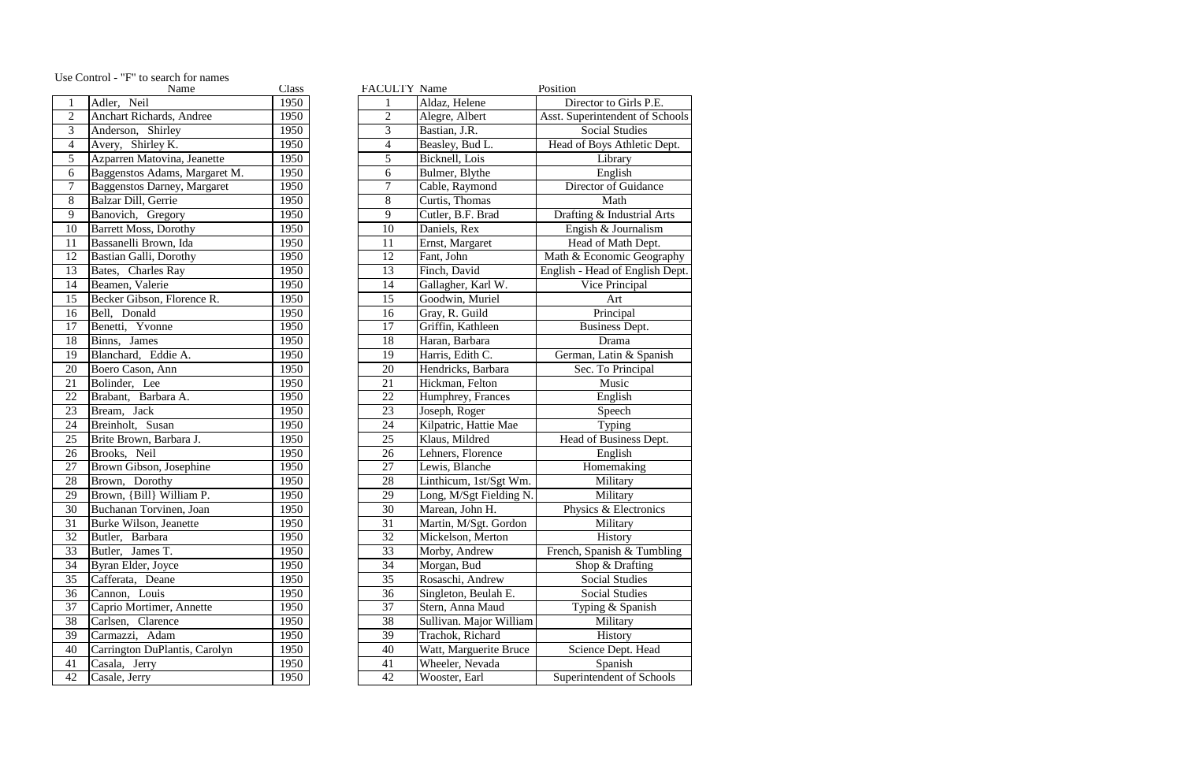|                 | Name                               | <b>Class</b> | <b>FACULTY Name</b> |                         | Position                        |
|-----------------|------------------------------------|--------------|---------------------|-------------------------|---------------------------------|
| $\mathbf{1}$    | Adler, Neil                        | 1950         |                     | Aldaz, Helene           | Director to Girls P.E.          |
| $\overline{2}$  | <b>Anchart Richards, Andree</b>    | 1950         | $\mathbf{2}$        | Alegre, Albert          | Asst. Superintendent of Schools |
| $\overline{3}$  | Anderson, Shirley                  | 1950         | 3                   | Bastian, J.R.           | <b>Social Studies</b>           |
| $\overline{4}$  | Avery, Shirley $\overline{K}$ .    | 1950         | $\overline{4}$      | Beasley, Bud L.         | Head of Boys Athletic Dept.     |
| $\sqrt{5}$      | Azparren Matovina, Jeanette        | 1950         | 5                   | Bicknell, Lois          | Library                         |
| 6               | Baggenstos Adams, Margaret M.      | 1950         | 6                   | Bulmer, Blythe          | English                         |
| $\overline{7}$  | <b>Baggenstos Darney, Margaret</b> | 1950         | $\tau$              | Cable, Raymond          | Director of Guidance            |
| $8\,$           | Balzar Dill, Gerrie                | 1950         | 8                   | Curtis, Thomas          | Math                            |
| $\overline{9}$  | Banovich, Gregory                  | 1950         | 9                   | Cutler, B.F. Brad       | Drafting & Industrial Arts      |
| 10              | <b>Barrett Moss, Dorothy</b>       | 1950         | 10                  | Daniels, Rex            | Engish & Journalism             |
| 11              | Bassanelli Brown, Ida              | 1950         | 11                  | Ernst, Margaret         | Head of Math Dept.              |
| 12              | Bastian Galli, Dorothy             | 1950         | 12                  | Fant, John              | Math & Economic Geography       |
| 13              | Bates, Charles Ray                 | 1950         | 13                  | Finch, David            | English - Head of English Dept. |
| 14              | Beamen, Valerie                    | 1950         | 14                  | Gallagher, Karl W.      | Vice Principal                  |
| 15              | Becker Gibson, Florence R.         | 1950         | 15                  | Goodwin, Muriel         | Art                             |
| 16              | Bell, Donald                       | 1950         | 16                  | Gray, R. Guild          | Principal                       |
| 17              | Benetti, Yvonne                    | 1950         | 17                  | Griffin, Kathleen       | <b>Business Dept.</b>           |
| 18              | Binns, James                       | 1950         | 18                  | Haran, Barbara          | Drama                           |
| 19              | Blanchard, Eddie A.                | 1950         | 19                  | Harris, Edith C.        | German, Latin & Spanish         |
| 20              | Boero Cason, Ann                   | 1950         | 20                  | Hendricks, Barbara      | Sec. To Principal               |
| $\overline{21}$ | Bolinder, Lee                      | 1950         | 21                  | Hickman, Felton         | Music                           |
| $\overline{22}$ | Brabant, Barbara A.                | 1950         | 22                  | Humphrey, Frances       | English                         |
| 23              | Bream, Jack                        | 1950         | 23                  | Joseph, Roger           | Speech                          |
| $\overline{24}$ | Breinholt, Susan                   | 1950         | 24                  | Kilpatric, Hattie Mae   | Typing                          |
| $\overline{25}$ | Brite Brown, Barbara J.            | 1950         | 25                  | Klaus, Mildred          | Head of Business Dept.          |
| $\overline{26}$ | Brooks, Neil                       | 1950         | 26                  | Lehners, Florence       | English                         |
| $\frac{27}{28}$ | Brown Gibson, Josephine            | 1950         | 27                  | Lewis, Blanche          | Homemaking                      |
|                 | Brown, Dorothy                     | 1950         | 28                  | Linthicum, 1st/Sgt Wm.  | Military                        |
| 29              | Brown, {Bill} William P.           | 1950         | 29                  | Long, M/Sgt Fielding N. | Military                        |
| $\overline{30}$ | Buchanan Torvinen, Joan            | 1950         | 30                  | Marean, John H.         | Physics & Electronics           |
| 31              | Burke Wilson, Jeanette             | 1950         | 31                  | Martin, M/Sgt. Gordon   | Military                        |
| $\overline{32}$ | Butler, Barbara                    | 1950         | 32                  | Mickelson, Merton       | History                         |
| 33              | Butler, James T.                   | 1950         | 33                  | Morby, Andrew           | French, Spanish & Tumbling      |
| $\overline{34}$ | Byran Elder, Joyce                 | 1950         | 34                  | Morgan, Bud             | Shop & Drafting                 |
| $\overline{35}$ | Cafferata, Deane                   | 1950         | 35                  | Rosaschi, Andrew        | <b>Social Studies</b>           |
| 36              | Cannon, Louis                      | 1950         | 36                  | Singleton, Beulah E.    | <b>Social Studies</b>           |
| $\overline{37}$ | Caprio Mortimer, Annette           | 1950         | 37                  | Stern, Anna Maud        | Typing & Spanish                |
| $\overline{38}$ | Carlsen, Clarence                  | 1950         | 38                  | Sullivan. Major William | Military                        |
| 39              | Carmazzi, Adam                     | 1950         | 39                  | Trachok, Richard        | History                         |
| 40              | Carrington DuPlantis, Carolyn      | 1950         | 40                  | Watt, Marguerite Bruce  | Science Dept. Head              |
| 41              | Casala, Jerry                      | 1950         | 41                  | Wheeler, Nevada         | Spanish                         |
| 42              | Casale, Jerry                      | 1950         | 42                  | Wooster, Earl           | Superintendent of Schools       |

|                         | Use Control - "F" to search for names |       |
|-------------------------|---------------------------------------|-------|
|                         | Name                                  | Class |
| $\mathbf{1}$            | Neil<br>Adler,                        | 1950  |
| $\overline{2}$          | Anchart Richards, Andree              | 1950  |
| $\overline{\mathbf{3}}$ | Anderson, Shirley                     | 1950  |
| $\overline{4}$          | Avery, Shirley K.                     | 1950  |
| 5                       | Azparren Matovina, Jeanette           | 1950  |
| 6                       | Baggenstos Adams, Margaret M.         | 1950  |
| $\overline{7}$          | <b>Baggenstos Darney, Margaret</b>    | 1950  |
| 8                       | Balzar Dill, Gerrie                   | 1950  |
| 9                       | Banovich, Gregory                     | 1950  |
| 10                      | <b>Barrett Moss, Dorothy</b>          | 1950  |
| 11                      | Bassanelli Brown, Ida                 | 1950  |
| 12                      | Bastian Galli, Dorothy                | 1950  |
| 13                      | Bates, Charles Ray                    | 1950  |
| 14                      | Beamen, Valerie                       | 1950  |
| 15                      | Becker Gibson, Florence R.            | 1950  |
| 16                      | Bell, Donald                          | 1950  |
| 17                      | Benetti, Yvonne                       | 1950  |
| 18                      | Binns, James                          | 1950  |
| 19                      | Blanchard, Eddie A.                   | 1950  |
| 20                      | Boero Cason, Ann                      | 1950  |
| 21                      | Bolinder, Lee                         | 1950  |
| 22                      | Brabant, Barbara A.                   | 1950  |
| 23                      | Bream, Jack                           | 1950  |
| 24                      | Breinholt, Susan                      | 1950  |
| 25                      | Brite Brown, Barbara J.               | 1950  |
| 26                      | Brooks, Neil                          | 1950  |
| 27                      | Brown Gibson, Josephine               | 1950  |
| 28                      | Brown, Dorothy                        | 1950  |
| 29                      | Brown, {Bill} William P.              | 1950  |
| 30                      | Buchanan Torvinen, Joan               | 1950  |
| 31                      | Burke Wilson, Jeanette                | 1950  |
| 32                      | Butler, Barbara                       | 1950  |
| 33                      | Butler, James T.                      | 1950  |
| 34                      | Byran Elder, Joyce                    | 1950  |
| 35                      | Cafferata, Deane                      | 1950  |
| 36                      | Cannon, Louis                         | 1950  |
| 37                      | Caprio Mortimer, Annette              | 1950  |
| 38                      | Carlsen, Clarence                     | 1950  |
| 39                      | Carmazzi, Adam                        | 1950  |
| 40                      | Carrington DuPlantis, Carolyn         | 1950  |
| 41                      | Casala, Jerry                         | 1950  |
| 42                      | Casale, Jerry                         | 1950  |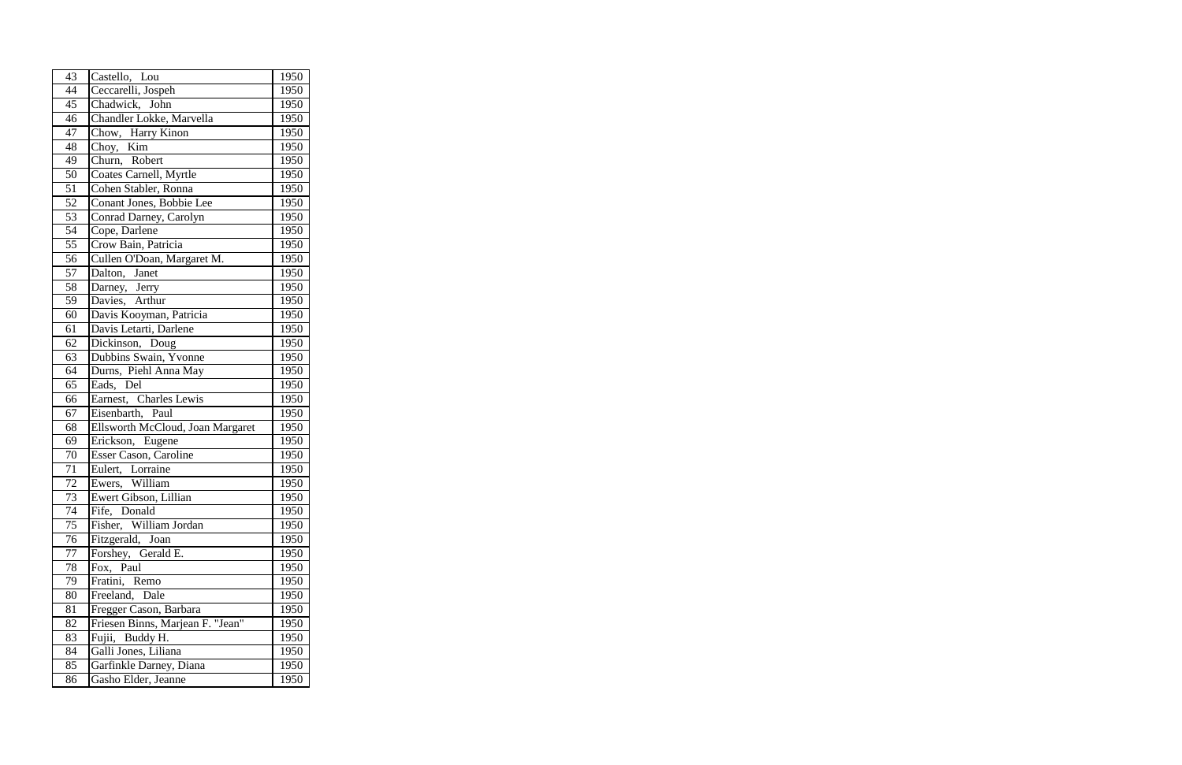| 43              | Castello, Lou                    | 1950 |
|-----------------|----------------------------------|------|
| $\overline{44}$ | Ceccarelli, Jospeh               | 1950 |
| 45              | Chadwick, John                   | 1950 |
| 46              | Chandler Lokke, Marvella         | 1950 |
| $\overline{4}$  | Chow, Harry Kinon                | 1950 |
| 48              | Choy, Kim                        | 1950 |
| 49              | Churn, Robert                    | 1950 |
| 50              | Coates Carnell, Myrtle           | 1950 |
| 51              | Cohen Stabler, Ronna             | 1950 |
| 52              | Conant Jones, Bobbie Lee         | 1950 |
| 53              | Conrad Darney, Carolyn           | 1950 |
| 54              | Cope, Darlene                    | 1950 |
| 55              | Crow Bain, Patricia              | 1950 |
| 56              | Cullen O'Doan, Margaret M.       | 1950 |
| 57              | Dalton, Janet                    | 1950 |
| 58              | Darney, Jerry                    | 1950 |
| 59              | Davies, Arthur                   | 1950 |
| 60              | Davis Kooyman, Patricia          | 1950 |
| 61              | Davis Letarti, Darlene           | 1950 |
| 62              | Dickinson, Doug                  | 1950 |
| 63              | Dubbins Swain, Yvonne            | 1950 |
| 64              | Durns, Piehl Anna May            | 1950 |
| 65              | Eads,<br>Del                     | 1950 |
| 66              | Earnest, Charles Lewis           | 1950 |
| 67              | Eisenbarth, Paul                 | 1950 |
| 68              | Ellsworth McCloud, Joan Margaret | 1950 |
| 69              | Erickson, Eugene                 | 1950 |
| 70              | Esser Cason, Caroline            | 1950 |
| 71              | Eulert, Lorraine                 | 1950 |
| 72              | Ewers, William                   | 1950 |
| 73              | Ewert Gibson, Lillian            | 1950 |
| 74              | Fife, Donald                     | 1950 |
| 75              | Fisher, William Jordan           | 1950 |
| 76              | Fitzgerald, Joan                 | 1950 |
| 77              | Forshey, Gerald E.               | 1950 |
| 78              | Fox, Paul                        | 1950 |
| 79              | Fratini, Remo                    | 1950 |
| 80              | Freeland, Dale                   | 1950 |
| 81              | Fregger Cason, Barbara           | 1950 |
| 82              | Friesen Binns, Marjean F. "Jean" | 1950 |
| 83              | Fujii, Buddy H.                  | 1950 |
| 84              | Galli Jones, Liliana             | 1950 |
| 85              | Garfinkle Darney, Diana          | 1950 |
| 86              | Gasho Elder, Jeanne              | 1950 |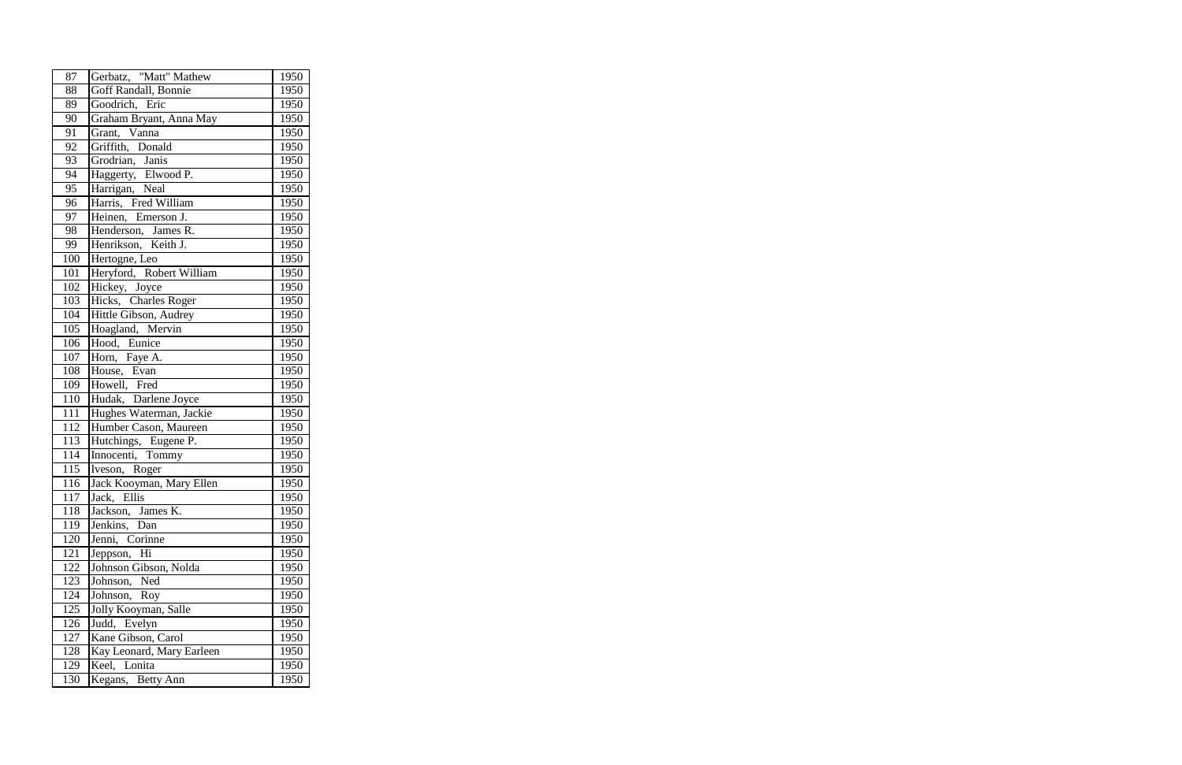| 87  | Gerbatz, "Matt" Mathew    | 1950 |
|-----|---------------------------|------|
| 88  | Goff Randall, Bonnie      | 1950 |
| 89  | Goodrich, Eric            | 1950 |
| 90  | Graham Bryant, Anna May   | 1950 |
| 91  | Grant, Vanna              | 1950 |
| 92  | Griffith, Donald          | 1950 |
| 93  | Grodrian, Janis           | 1950 |
| 94  | Haggerty, Elwood P.       | 1950 |
| 95  | Harrigan, Neal            | 1950 |
| 96  | Harris, Fred William      | 1950 |
| 97  | Heinen, Emerson J.        | 1950 |
| 98  | Henderson, James R.       | 1950 |
| 99  | Henrikson, Keith J.       | 1950 |
| 100 | Hertogne, Leo             | 1950 |
| 101 | Heryford, Robert William  | 1950 |
| 102 | Hickey, Joyce             | 1950 |
| 103 | Hicks, Charles Roger      | 1950 |
| 104 | Hittle Gibson, Audrey     | 1950 |
| 105 | Hoagland, Mervin          | 1950 |
| 106 | Hood, Eunice              | 1950 |
| 107 | Horn, Faye A.             | 1950 |
| 108 | House, Evan               | 1950 |
| 109 | Howell, Fred              | 1950 |
| 110 | Hudak, Darlene Joyce      | 1950 |
| 111 | Hughes Waterman, Jackie   | 1950 |
| 112 | Humber Cason, Maureen     | 1950 |
| 113 | Hutchings, Eugene P.      | 1950 |
| 114 | Innocenti, Tommy          | 1950 |
| 115 | Iveson, Roger             | 1950 |
| 116 | Jack Kooyman, Mary Ellen  | 1950 |
| 117 | Jack, Ellis               | 1950 |
| 118 | Jackson, James K.         | 1950 |
| 119 | Jenkins, Dan              | 1950 |
| 120 | Jenni, Corinne            | 1950 |
| 121 | Jeppson, Hi               | 1950 |
| 122 | Johnson Gibson, Nolda     | 1950 |
| 123 | Johnson, Ned              | 1950 |
| 124 | Johnson, Roy              | 1950 |
| 125 | Jolly Kooyman, Salle      | 1950 |
| 126 | Judd, Evelyn              | 1950 |
| 127 | Kane Gibson, Carol        | 1950 |
| 128 | Kay Leonard, Mary Earleen | 1950 |
| 129 | Keel, Lonita              | 1950 |
| 130 | Kegans, Betty Ann         | 1950 |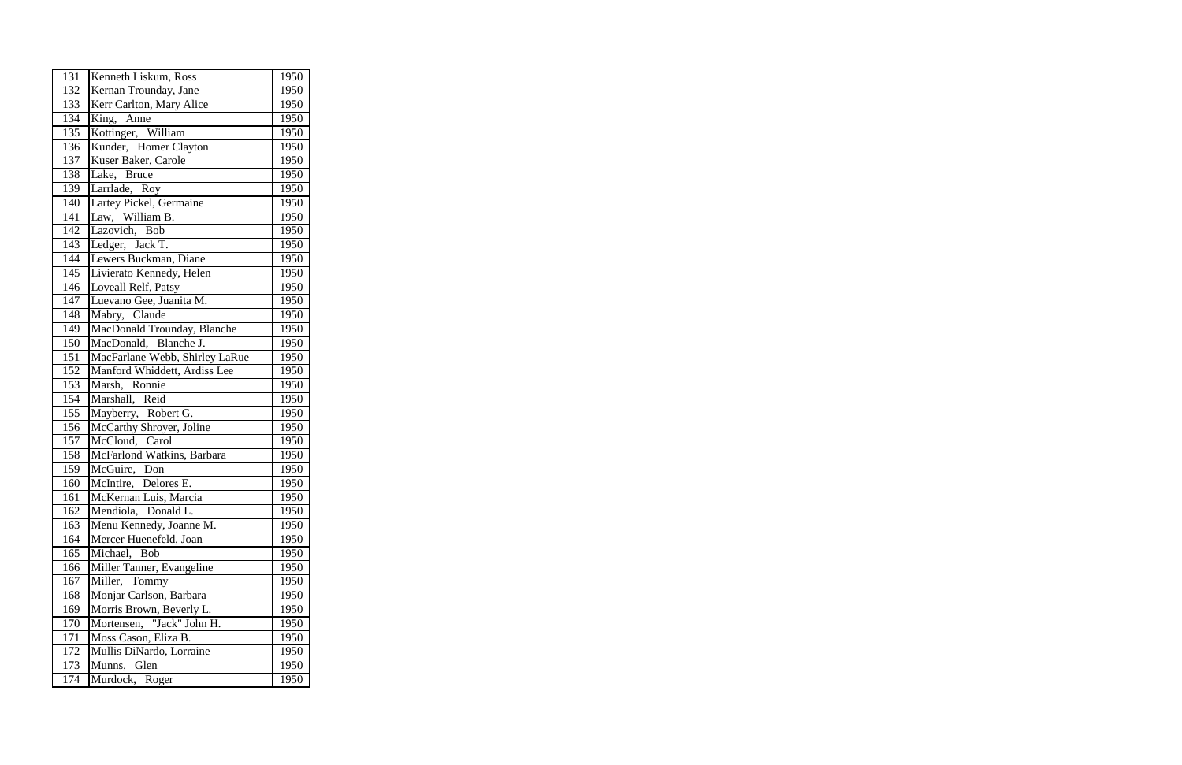| 131 | Kenneth Liskum, Ross           | 1950 |
|-----|--------------------------------|------|
| 132 | Kernan Trounday, Jane          | 1950 |
| 133 | Kerr Carlton, Mary Alice       | 1950 |
| 134 | King, Anne                     | 1950 |
| 135 | Kottinger, William             | 1950 |
| 136 | Kunder, Homer Clayton          | 1950 |
| 137 | Kuser Baker, Carole            | 1950 |
| 138 | Lake,<br><b>Bruce</b>          | 1950 |
| 139 | Larrlade, Roy                  | 1950 |
| 140 | Lartey Pickel, Germaine        | 1950 |
| 141 | Law, William B.                | 1950 |
| 142 | Lazovich, Bob                  | 1950 |
| 143 | Ledger, Jack T.                | 1950 |
| 144 | Lewers Buckman, Diane          | 1950 |
| 145 | Livierato Kennedy, Helen       | 1950 |
| 146 | Loveall Relf, Patsy            | 1950 |
| 147 | Luevano Gee, Juanita M.        | 1950 |
| 148 | Claude<br>Mabry,               | 1950 |
| 149 | MacDonald Trounday, Blanche    | 1950 |
| 150 | MacDonald, Blanche J.          | 1950 |
| 151 | MacFarlane Webb, Shirley LaRue | 1950 |
| 152 | Manford Whiddett, Ardiss Lee   | 1950 |
| 153 | Marsh, Ronnie                  | 1950 |
| 154 | Marshall, Reid                 | 1950 |
| 155 | Mayberry, Robert G.            | 1950 |
| 156 | McCarthy Shroyer, Joline       | 1950 |
| 157 | McCloud,<br>Caro <sub>1</sub>  | 1950 |
| 158 | McFarlond Watkins, Barbara     | 1950 |
| 159 | McGuire, Don                   | 1950 |
| 160 | McIntire, Delores E.           | 1950 |
| 161 | McKernan Luis, Marcia          | 1950 |
| 162 | Mendiola, Donald L.            | 1950 |
| 163 | Menu Kennedy, Joanne M.        | 1950 |
| 164 | Mercer Huenefeld, Joan         | 1950 |
| 165 | Michael,<br>Bob                | 1950 |
| 166 | Miller Tanner, Evangeline      | 1950 |
| 167 | Miller, Tommy                  | 1950 |
| 168 | Monjar Carlson, Barbara        | 1950 |
| 169 | Morris Brown, Beverly L.       | 1950 |
| 170 | Mortensen, "Jack" John H.      | 1950 |
| 171 | Moss Cason, Eliza B.           | 1950 |
| 172 | Mullis DiNardo, Lorraine       | 1950 |
| 173 | Munns, Glen                    | 1950 |
| 174 | Murdock, Roger                 | 1950 |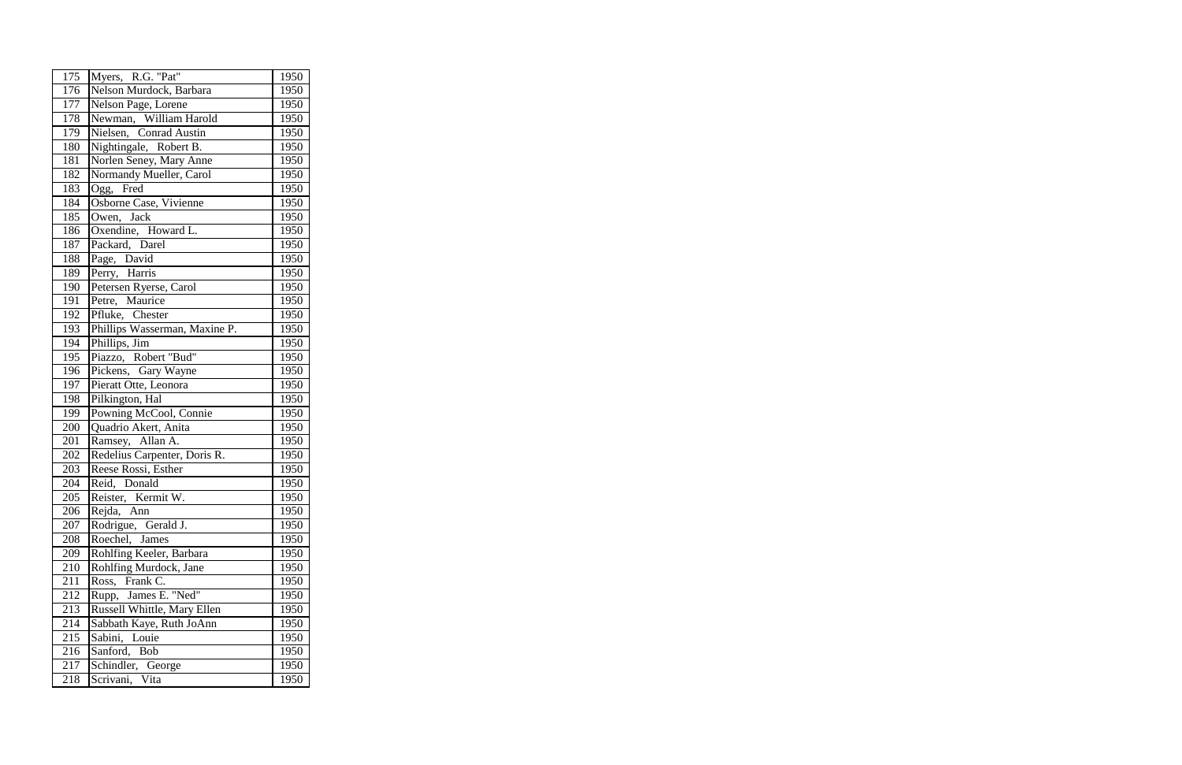| 175 | Myers, R.G. "Pat"             | 1950 |
|-----|-------------------------------|------|
| 176 | Nelson Murdock, Barbara       | 1950 |
| 177 | Nelson Page, Lorene           | 1950 |
| 178 | Newman, William Harold        | 1950 |
| 179 | Nielsen, Conrad Austin        | 1950 |
| 180 | Nightingale, Robert B.        | 1950 |
| 181 | Norlen Seney, Mary Anne       | 1950 |
| 182 | Normandy Mueller, Carol       | 1950 |
| 183 | Ogg, Fred                     | 1950 |
| 184 | Osborne Case, Vivienne        | 1950 |
| 185 | Owen, Jack                    | 1950 |
| 186 | Oxendine, Howard L.           | 1950 |
| 187 | Packard, Darel                | 1950 |
| 188 | Page, David                   | 1950 |
| 189 | Perry, Harris                 | 1950 |
| 190 | Petersen Ryerse, Carol        | 1950 |
| 191 | Petre, Maurice                | 1950 |
| 192 | Pfluke, Chester               | 1950 |
| 193 | Phillips Wasserman, Maxine P. | 1950 |
| 194 | Phillips, Jim                 | 1950 |
| 195 | Piazzo, Robert "Bud"          | 1950 |
| 196 | Pickens, Gary Wayne           | 1950 |
| 197 | Pieratt Otte, Leonora         | 1950 |
| 198 | Pilkington, Hal               | 1950 |
| 199 | Powning McCool, Connie        | 1950 |
| 200 | Quadrio Akert, Anita          | 1950 |
| 201 | Ramsey, Allan A.              | 1950 |
| 202 | Redelius Carpenter, Doris R.  | 1950 |
| 203 | Reese Rossi, Esther           | 1950 |
| 204 | Reid, Donald                  | 1950 |
| 205 | Reister, Kermit W.            | 1950 |
| 206 | Rejda, Ann                    | 1950 |
| 207 | Rodrigue, Gerald J.           | 1950 |
| 208 | Roechel, James                | 1950 |
| 209 | Rohlfing Keeler, Barbara      | 1950 |
| 210 | Rohlfing Murdock, Jane        | 1950 |
| 211 | Ross, Frank C.                | 1950 |
| 212 | Rupp, James E. "Ned"          | 1950 |
| 213 | Russell Whittle, Mary Ellen   | 1950 |
| 214 | Sabbath Kaye, Ruth JoAnn      | 1950 |
| 215 | Sabini,<br>Louie              | 1950 |
| 216 | Sanford, Bob                  | 1950 |
| 217 | Schindler, George             | 1950 |
| 218 | Scrivani, Vita                | 1950 |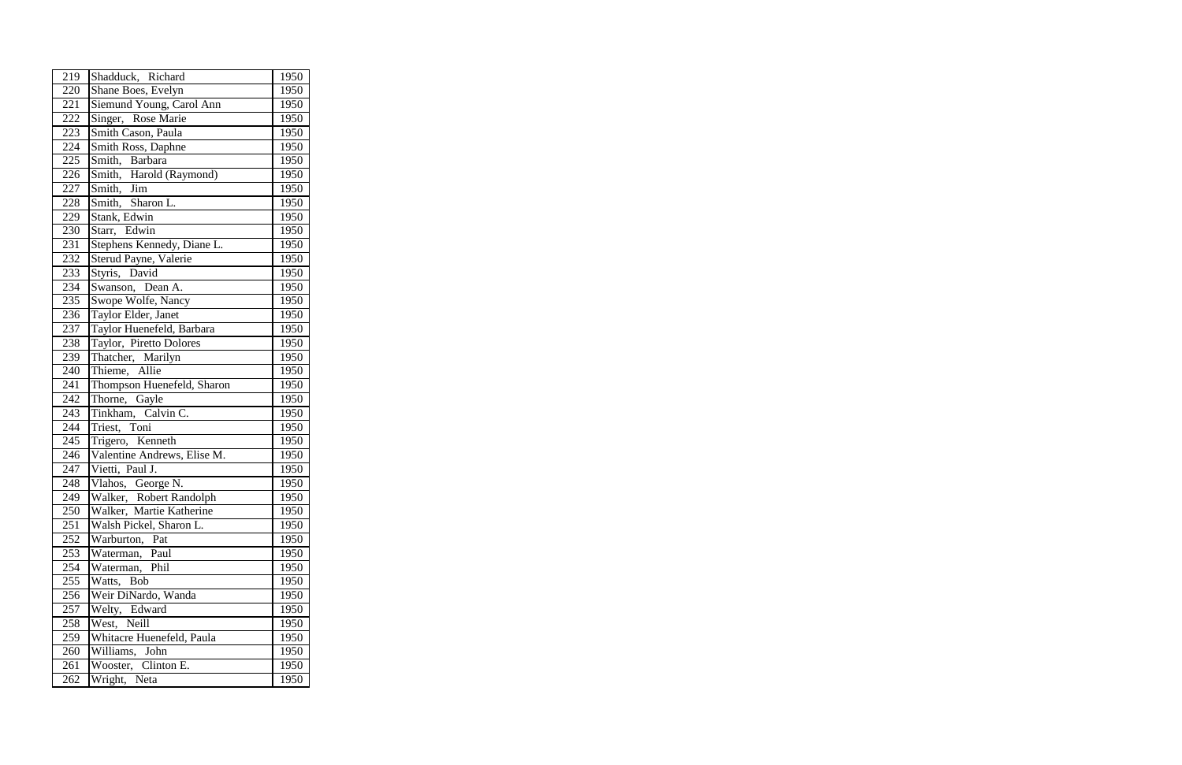| 219 | Shadduck, Richard           | 1950 |
|-----|-----------------------------|------|
| 220 | Shane Boes, Evelyn          | 1950 |
| 221 | Siemund Young, Carol Ann    | 1950 |
| 222 | Singer, Rose Marie          | 1950 |
| 223 | Smith Cason, Paula          | 1950 |
| 224 | Smith Ross, Daphne          | 1950 |
| 225 | Smith, Barbara              | 1950 |
| 226 | Smith, Harold (Raymond)     | 1950 |
| 227 | Smith, Jim                  | 1950 |
| 228 | Smith, Sharon L.            | 1950 |
| 229 | Stank, Edwin                | 1950 |
| 230 | Starr, Edwin                | 1950 |
| 231 | Stephens Kennedy, Diane L.  | 1950 |
| 232 | Sterud Payne, Valerie       | 1950 |
| 233 | Styris, David               | 1950 |
| 234 | Swanson, Dean A.            | 1950 |
| 235 | Swope Wolfe, Nancy          | 1950 |
| 236 | Taylor Elder, Janet         | 1950 |
| 237 | Taylor Huenefeld, Barbara   | 1950 |
| 238 | Taylor, Piretto Dolores     | 1950 |
| 239 | Thatcher, Marilyn           | 1950 |
| 240 | Thieme, Allie               | 1950 |
| 241 | Thompson Huenefeld, Sharon  | 1950 |
| 242 | Thorne, Gayle               | 1950 |
| 243 | Tinkham, Calvin C.          | 1950 |
| 244 | Triest, Toni                | 1950 |
| 245 | Trigero, Kenneth            | 1950 |
| 246 | Valentine Andrews, Elise M. | 1950 |
| 247 | Vietti, Paul J.             | 1950 |
| 248 | Vlahos, George N.           | 1950 |
| 249 | Walker, Robert Randolph     | 1950 |
| 250 | Walker, Martie Katherine    | 1950 |
| 251 | Walsh Pickel, Sharon L.     | 1950 |
| 252 | Warburton,<br>Pat           | 1950 |
| 253 | Waterman,<br>Paul           | 1950 |
| 254 | Phil<br>Waterman,           | 1950 |
| 255 | <b>Bob</b><br>Watts,        | 1950 |
| 256 | Weir DiNardo, Wanda         | 1950 |
| 257 | Welty, Edward               | 1950 |
| 258 | West,<br>Neill              | 1950 |
| 259 | Whitacre Huenefeld, Paula   | 1950 |
| 260 | Williams,<br>John           | 1950 |
| 261 | Wooster, Clinton E.         | 1950 |
| 262 | Wright, Neta                | 1950 |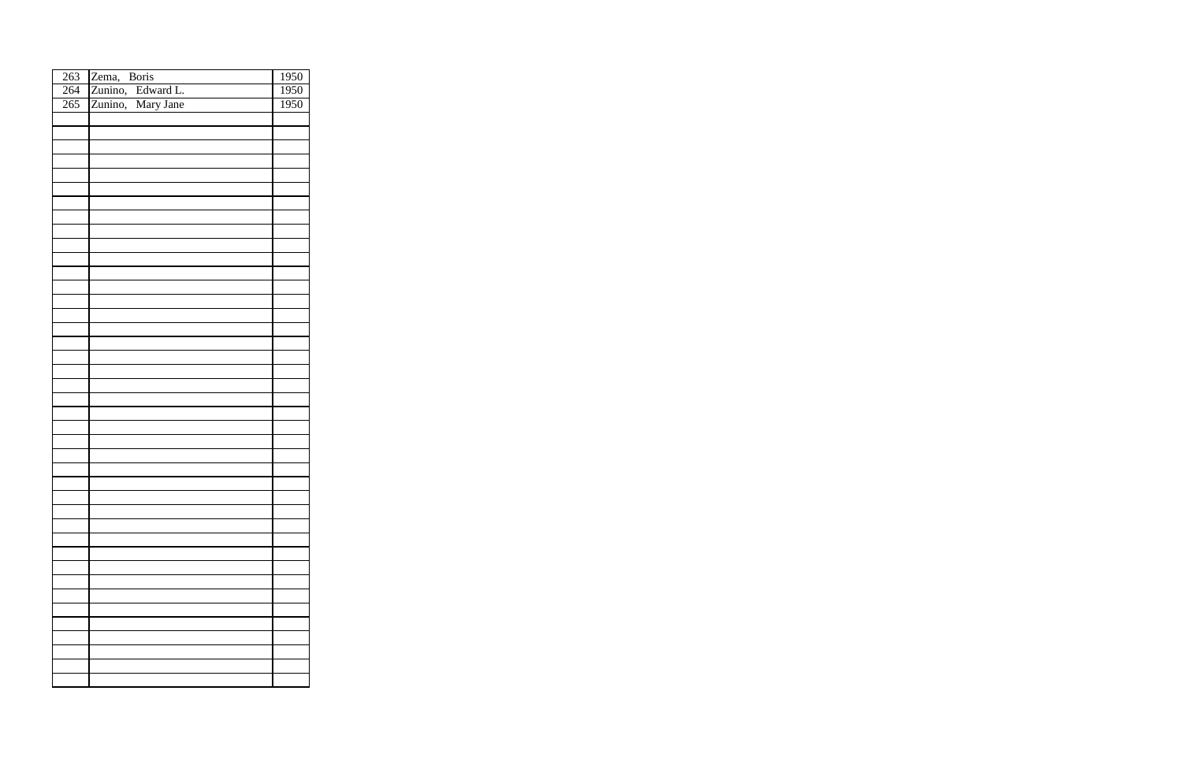| 263 | Zema, Boris                            | 1950 |
|-----|----------------------------------------|------|
| 264 | Zunino, Edward L.<br>Zunino, Mary Jane | 1950 |
| 265 |                                        | 1950 |
|     |                                        |      |
|     |                                        |      |
|     |                                        |      |
|     |                                        |      |
|     |                                        |      |
|     |                                        |      |
|     |                                        |      |
|     |                                        |      |
|     |                                        |      |
|     |                                        |      |
|     |                                        |      |
|     |                                        |      |
|     |                                        |      |
|     |                                        |      |
|     |                                        |      |
|     |                                        |      |
|     |                                        |      |
|     |                                        |      |
|     |                                        |      |
|     |                                        |      |
|     |                                        |      |
|     |                                        |      |
|     |                                        |      |
|     |                                        |      |
|     |                                        |      |
|     |                                        |      |
|     |                                        |      |
|     |                                        |      |
|     |                                        |      |
|     |                                        |      |
|     |                                        |      |
|     |                                        |      |
|     |                                        |      |
|     |                                        |      |
|     |                                        |      |
|     |                                        |      |
|     |                                        |      |
|     |                                        |      |
|     |                                        |      |
|     |                                        |      |
|     |                                        |      |